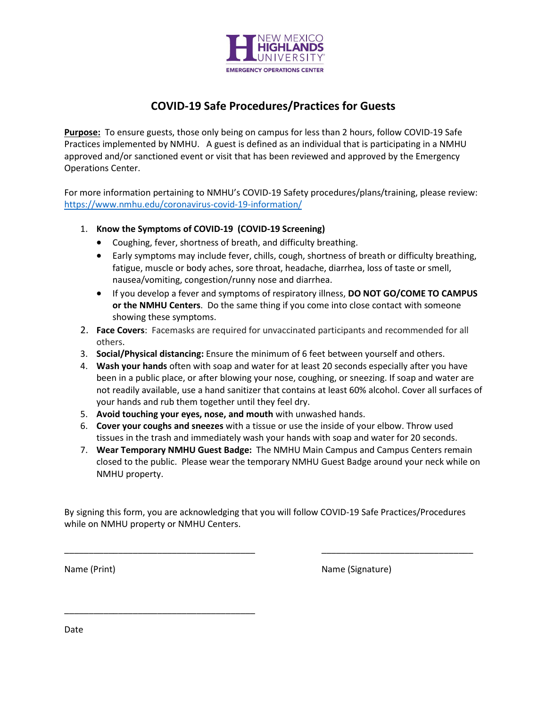

## **COVID-19 Safe Procedures/Practices for Guests**

**Purpose:** To ensure guests, those only being on campus for less than 2 hours, follow COVID-19 Safe Practices implemented by NMHU. A guest is defined as an individual that is participating in a NMHU approved and/or sanctioned event or visit that has been reviewed and approved by the Emergency Operations Center.

For more information pertaining to NMHU's COVID-19 Safety procedures/plans/training, please review: <https://www.nmhu.edu/coronavirus-covid-19-information/>

- 1. **Know the Symptoms of COVID-19 (COVID-19 Screening)** 
	- Coughing, fever, shortness of breath, and difficulty breathing.
	- Early symptoms may include fever, chills, cough, shortness of breath or difficulty breathing, fatigue, muscle or body aches, sore throat, headache, diarrhea, loss of taste or smell, nausea/vomiting, congestion/runny nose and diarrhea.
	- If you develop a fever and symptoms of respiratory illness, **DO NOT GO/COME TO CAMPUS or the NMHU Centers**. Do the same thing if you come into close contact with someone showing these symptoms.
- 2. **Face Covers**: Facemasks are required for unvaccinated participants and recommended for all others.
- 3. **Social/Physical distancing:** Ensure the minimum of 6 feet between yourself and others.
- 4. **Wash your hands** often with soap and water for at least 20 seconds especially after you have been in a public place, or after blowing your nose, coughing, or sneezing. If soap and water are not readily available, use a hand sanitizer that contains at least 60% alcohol. Cover all surfaces of your hands and rub them together until they feel dry.
- 5. **Avoid touching your eyes, nose, and mouth** with unwashed hands.
- 6. **Cover your coughs and sneezes** with a tissue or use the inside of your elbow. Throw used tissues in the trash and immediately wash your hands with soap and water for 20 seconds.
- 7. **Wear Temporary NMHU Guest Badge:** The NMHU Main Campus and Campus Centers remain closed to the public. Please wear the temporary NMHU Guest Badge around your neck while on NMHU property.

By signing this form, you are acknowledging that you will follow COVID-19 Safe Practices/Procedures while on NMHU property or NMHU Centers.

\_\_\_\_\_\_\_\_\_\_\_\_\_\_\_\_\_\_\_\_\_\_\_\_\_\_\_\_\_\_\_\_\_\_\_\_\_\_\_ \_\_\_\_\_\_\_\_\_\_\_\_\_\_\_\_\_\_\_\_\_\_\_\_\_\_\_\_\_\_\_

\_\_\_\_\_\_\_\_\_\_\_\_\_\_\_\_\_\_\_\_\_\_\_\_\_\_\_\_\_\_\_\_\_\_\_\_\_\_\_

Name (Print) Name (Signature)

Date